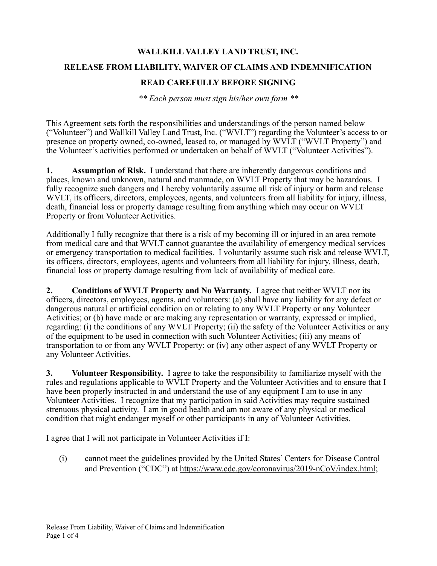## **WALLKILL VALLEY LAND TRUST, INC. RELEASE FROM LIABILITY, WAIVER OF CLAIMS AND INDEMNIFICATION**

## **READ CAREFULLY BEFORE SIGNING**

*\*\* Each person must sign his/her own form \*\**

This Agreement sets forth the responsibilities and understandings of the person named below ("Volunteer") and Wallkill Valley Land Trust, Inc. ("WVLT") regarding the Volunteer's access to or presence on property owned, co-owned, leased to, or managed by WVLT ("WVLT Property") and the Volunteer's activities performed or undertaken on behalf of WVLT ("Volunteer Activities").

**1. Assumption of Risk.** I understand that there are inherently dangerous conditions and places, known and unknown, natural and manmade, on WVLT Property that may be hazardous. I fully recognize such dangers and I hereby voluntarily assume all risk of injury or harm and release WVLT, its officers, directors, employees, agents, and volunteers from all liability for injury, illness, death, financial loss or property damage resulting from anything which may occur on WVLT Property or from Volunteer Activities.

Additionally I fully recognize that there is a risk of my becoming ill or injured in an area remote from medical care and that WVLT cannot guarantee the availability of emergency medical services or emergency transportation to medical facilities. I voluntarily assume such risk and release WVLT, its officers, directors, employees, agents and volunteers from all liability for injury, illness, death, financial loss or property damage resulting from lack of availability of medical care.

**2. Conditions of WVLT Property and No Warranty.** I agree that neither WVLT nor its officers, directors, employees, agents, and volunteers: (a) shall have any liability for any defect or dangerous natural or artificial condition on or relating to any WVLT Property or any Volunteer Activities; or (b) have made or are making any representation or warranty, expressed or implied, regarding: (i) the conditions of any WVLT Property; (ii) the safety of the Volunteer Activities or any of the equipment to be used in connection with such Volunteer Activities; (iii) any means of transportation to or from any WVLT Property; or (iv) any other aspect of any WVLT Property or any Volunteer Activities.

**3. Volunteer Responsibility.** I agree to take the responsibility to familiarize myself with the rules and regulations applicable to WVLT Property and the Volunteer Activities and to ensure that I have been properly instructed in and understand the use of any equipment I am to use in any Volunteer Activities. I recognize that my participation in said Activities may require sustained strenuous physical activity. I am in good health and am not aware of any physical or medical condition that might endanger myself or other participants in any of Volunteer Activities.

I agree that I will not participate in Volunteer Activities if I:

(i) cannot meet the guidelines provided by the United States' Centers for Disease Control and Prevention ("CDC") at <https://www.cdc.gov/coronavirus/2019-nCoV/index.html>;